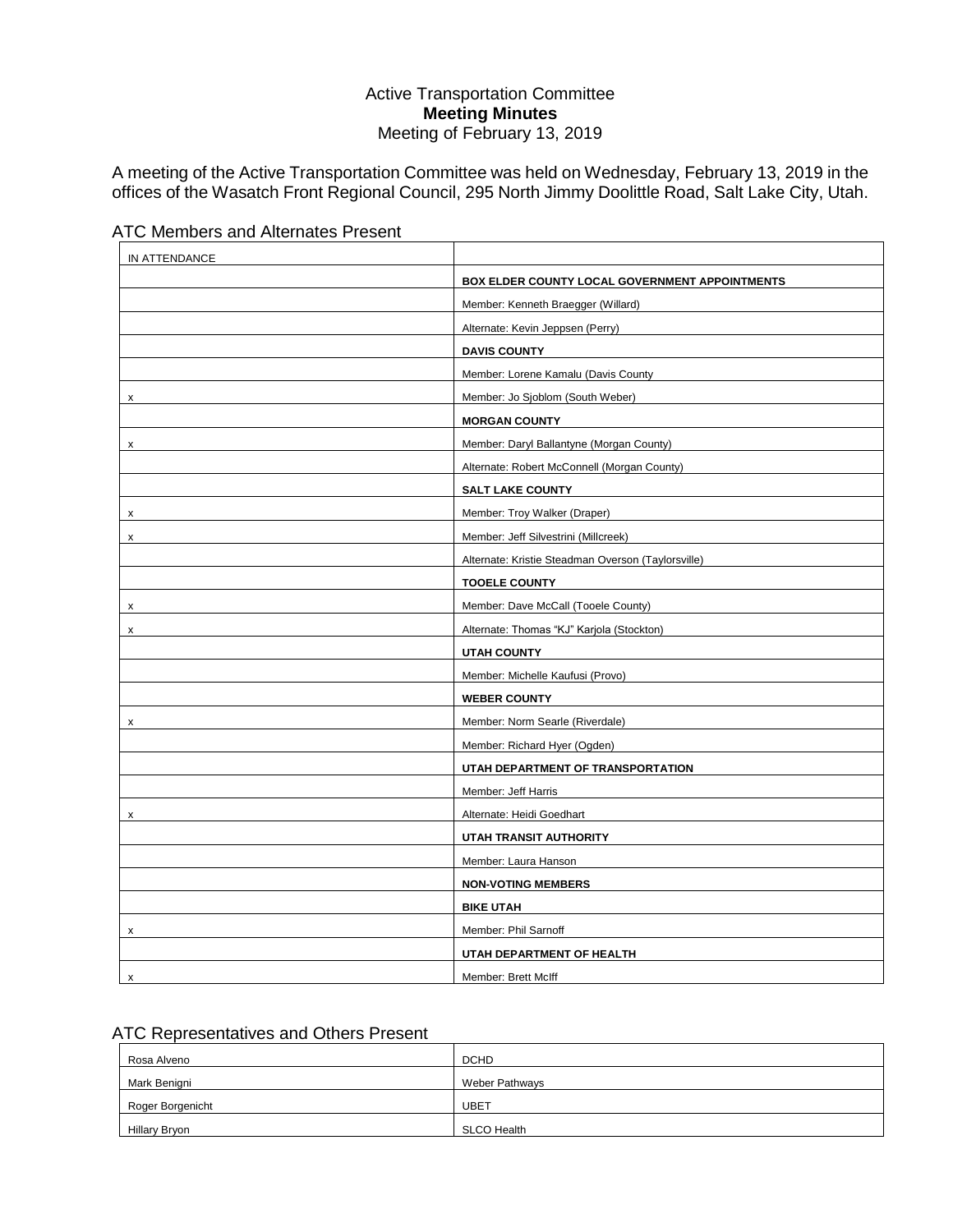## Active Transportation Committee **Meeting Minutes** Meeting of February 13, 2019

A meeting of the Active Transportation Committee was held on Wednesday, February 13, 2019 in the offices of the Wasatch Front Regional Council, 295 North Jimmy Doolittle Road, Salt Lake City, Utah.

| IN ATTENDANCE |                                                    |
|---------------|----------------------------------------------------|
|               | BOX ELDER COUNTY LOCAL GOVERNMENT APPOINTMENTS     |
|               | Member: Kenneth Braegger (Willard)                 |
|               | Alternate: Kevin Jeppsen (Perry)                   |
|               | <b>DAVIS COUNTY</b>                                |
|               | Member: Lorene Kamalu (Davis County                |
| x             | Member: Jo Sjoblom (South Weber)                   |
|               | <b>MORGAN COUNTY</b>                               |
| x             | Member: Daryl Ballantyne (Morgan County)           |
|               | Alternate: Robert McConnell (Morgan County)        |
|               | <b>SALT LAKE COUNTY</b>                            |
| X             | Member: Troy Walker (Draper)                       |
| x             | Member: Jeff Silvestrini (Millcreek)               |
|               | Alternate: Kristie Steadman Overson (Taylorsville) |
|               | <b>TOOELE COUNTY</b>                               |
| x             | Member: Dave McCall (Tooele County)                |
| x             | Alternate: Thomas "KJ" Karjola (Stockton)          |
|               | <b>UTAH COUNTY</b>                                 |
|               | Member: Michelle Kaufusi (Provo)                   |
|               | <b>WEBER COUNTY</b>                                |
| x             | Member: Norm Searle (Riverdale)                    |
|               | Member: Richard Hyer (Ogden)                       |
|               | UTAH DEPARTMENT OF TRANSPORTATION                  |
|               | Member: Jeff Harris                                |
| X             | Alternate: Heidi Goedhart                          |
|               | UTAH TRANSIT AUTHORITY                             |
|               | Member: Laura Hanson                               |
|               | <b>NON-VOTING MEMBERS</b>                          |
|               | <b>BIKE UTAH</b>                                   |
| х             | Member: Phil Sarnoff                               |
|               | UTAH DEPARTMENT OF HEALTH                          |
| X             | Member: Brett McIff                                |



# ATC Representatives and Others Present

| Rosa Alveno      | <b>DCHD</b>           |
|------------------|-----------------------|
| Mark Benigni     | <b>Weber Pathways</b> |
| Roger Borgenicht | <b>UBET</b>           |
| Hillary Bryon    | <b>SLCO Health</b>    |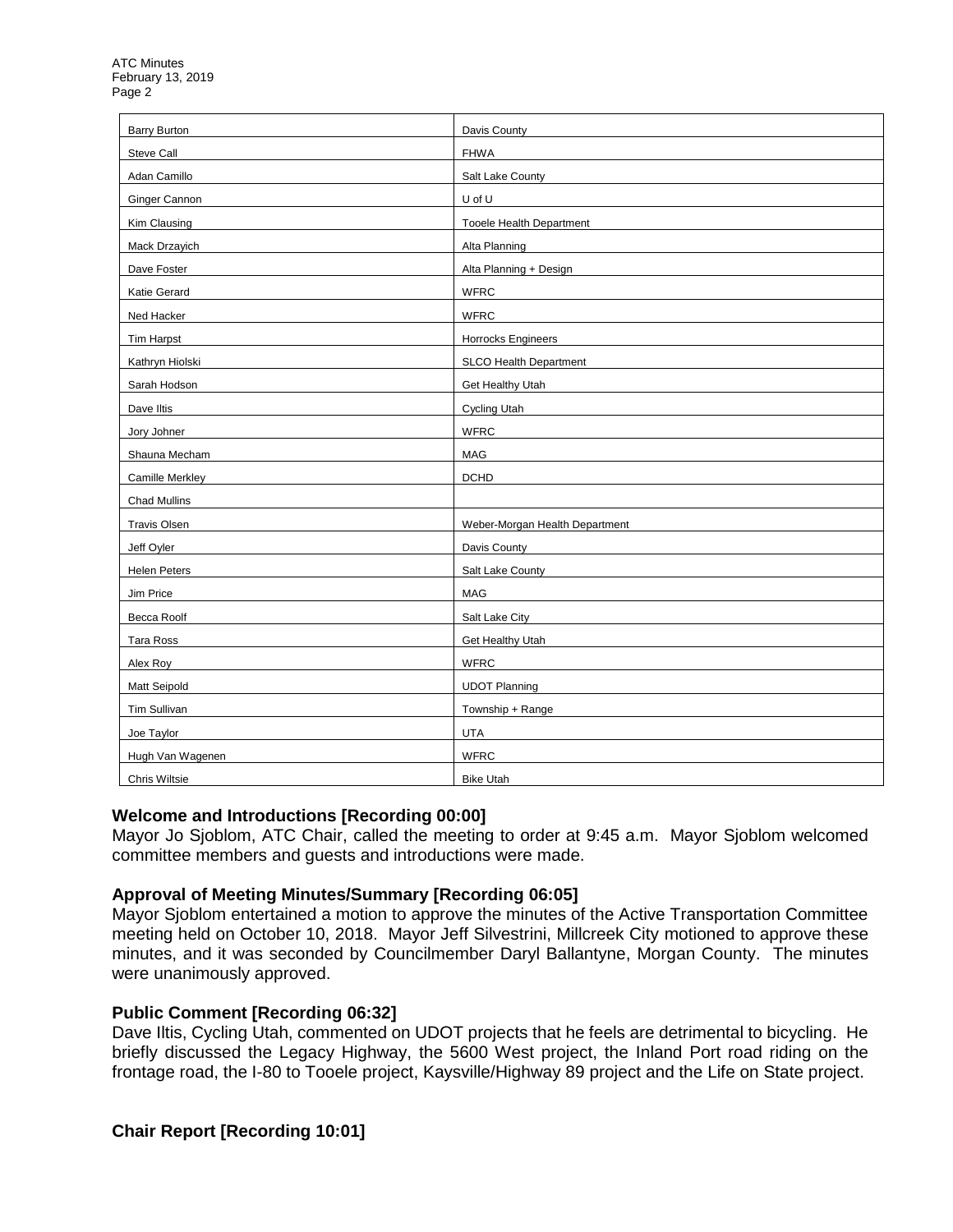| <b>Barry Burton</b> | Davis County                    |
|---------------------|---------------------------------|
| Steve Call          | <b>FHWA</b>                     |
| Adan Camillo        | Salt Lake County                |
| Ginger Cannon       | U of U                          |
| Kim Clausing        | <b>Tooele Health Department</b> |
| Mack Drzayich       | Alta Planning                   |
| Dave Foster         | Alta Planning + Design          |
| Katie Gerard        | <b>WFRC</b>                     |
| Ned Hacker          | <b>WFRC</b>                     |
| <b>Tim Harpst</b>   | <b>Horrocks Engineers</b>       |
| Kathryn Hiolski     | SLCO Health Department          |
| Sarah Hodson        | Get Healthy Utah                |
| Dave Iltis          | <b>Cycling Utah</b>             |
| Jory Johner         | <b>WFRC</b>                     |
| Shauna Mecham       | MAG                             |
| Camille Merkley     | <b>DCHD</b>                     |
| <b>Chad Mullins</b> |                                 |
| <b>Travis Olsen</b> | Weber-Morgan Health Department  |
| Jeff Oyler          | Davis County                    |
| <b>Helen Peters</b> | Salt Lake County                |
| Jim Price           | MAG                             |
| Becca Roolf         | Salt Lake City                  |
| Tara Ross           | Get Healthy Utah                |
| Alex Roy            | <b>WFRC</b>                     |
| <b>Matt Seipold</b> | <b>UDOT Planning</b>            |
| <b>Tim Sullivan</b> | Township + Range                |
| Joe Taylor          | <b>UTA</b>                      |
| Hugh Van Wagenen    | <b>WFRC</b>                     |
| Chris Wiltsie       | <b>Bike Utah</b>                |

### **Welcome and Introductions [Recording 00:00]**

Mayor Jo Sjoblom, ATC Chair, called the meeting to order at 9:45 a.m. Mayor Sjoblom welcomed committee members and guests and introductions were made.

## **Approval of Meeting Minutes/Summary [Recording 06:05]**

Mayor Sjoblom entertained a motion to approve the minutes of the Active Transportation Committee meeting held on October 10, 2018. Mayor Jeff Silvestrini, Millcreek City motioned to approve these minutes, and it was seconded by Councilmember Daryl Ballantyne, Morgan County. The minutes were unanimously approved.

## **Public Comment [Recording 06:32]**

Dave Iltis, Cycling Utah, commented on UDOT projects that he feels are detrimental to bicycling. He briefly discussed the Legacy Highway, the 5600 West project, the Inland Port road riding on the frontage road, the I-80 to Tooele project, Kaysville/Highway 89 project and the Life on State project.

## **Chair Report [Recording 10:01]**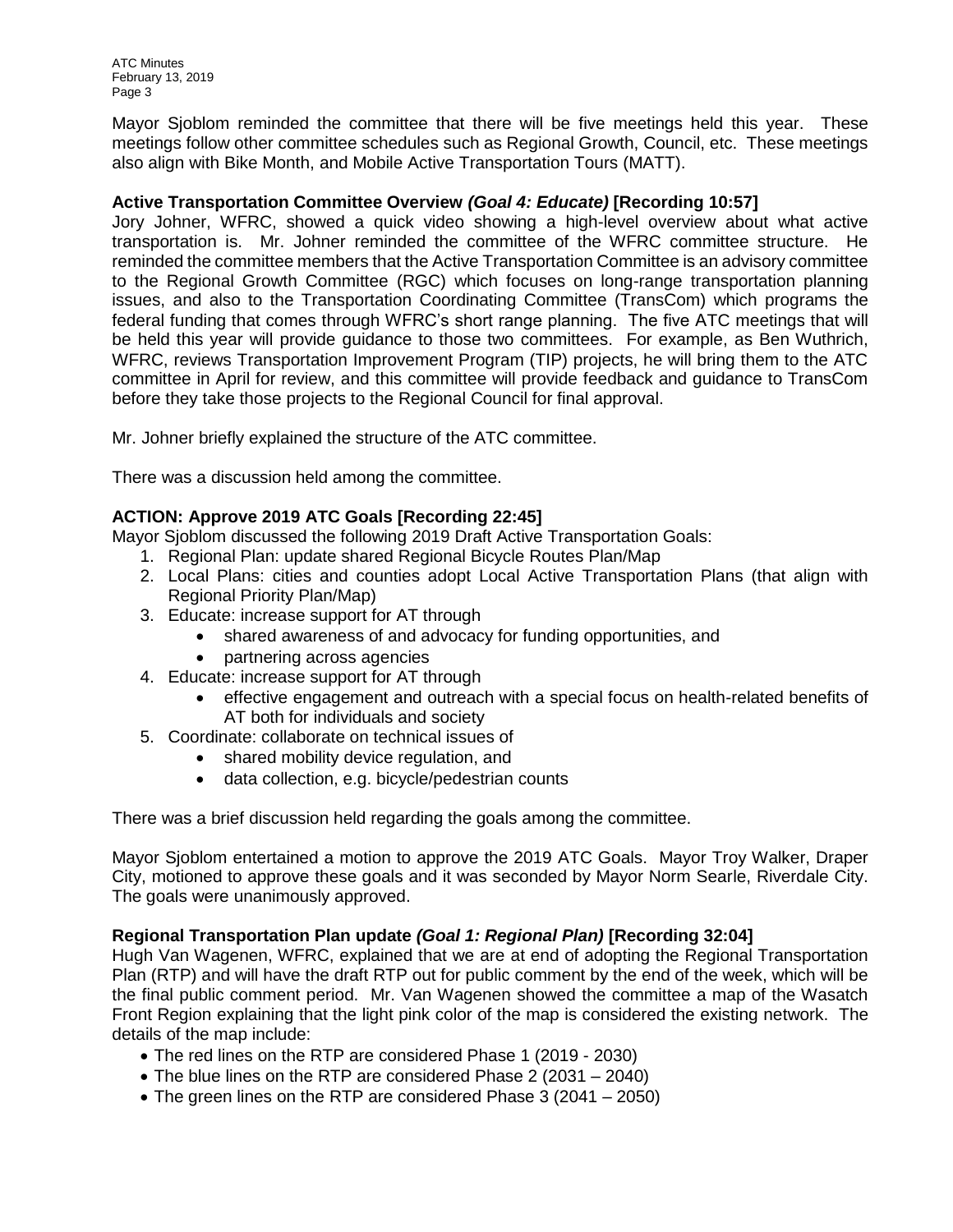ATC Minutes February 13, 2019 Page 3

Mayor Sjoblom reminded the committee that there will be five meetings held this year. These meetings follow other committee schedules such as Regional Growth, Council, etc. These meetings also align with Bike Month, and Mobile Active Transportation Tours (MATT).

## **Active Transportation Committee Overview** *(Goal 4: Educate)* **[Recording 10:57]**

Jory Johner, WFRC, showed a quick video showing a high-level overview about what active transportation is. Mr. Johner reminded the committee of the WFRC committee structure. He reminded the committee members that the Active Transportation Committee is an advisory committee to the Regional Growth Committee (RGC) which focuses on long-range transportation planning issues, and also to the Transportation Coordinating Committee (TransCom) which programs the federal funding that comes through WFRC's short range planning. The five ATC meetings that will be held this year will provide guidance to those two committees. For example, as Ben Wuthrich, WFRC, reviews Transportation Improvement Program (TIP) projects, he will bring them to the ATC committee in April for review, and this committee will provide feedback and guidance to TransCom before they take those projects to the Regional Council for final approval.

Mr. Johner briefly explained the structure of the ATC committee.

There was a discussion held among the committee.

# **ACTION: Approve 2019 ATC Goals [Recording 22:45]**

Mayor Sjoblom discussed the following 2019 Draft Active Transportation Goals:

- 1. Regional Plan: update shared Regional Bicycle Routes Plan/Map
- 2. Local Plans: cities and counties adopt Local Active Transportation Plans (that align with Regional Priority Plan/Map)
- 3. Educate: increase support for AT through
	- shared awareness of and advocacy for funding opportunities, and
	- partnering across agencies
- 4. Educate: increase support for AT through
	- effective engagement and outreach with a special focus on health-related benefits of AT both for individuals and society
- 5. Coordinate: collaborate on technical issues of
	- shared mobility device regulation, and
	- data collection, e.g. bicycle/pedestrian counts

There was a brief discussion held regarding the goals among the committee.

Mayor Sjoblom entertained a motion to approve the 2019 ATC Goals. Mayor Troy Walker, Draper City, motioned to approve these goals and it was seconded by Mayor Norm Searle, Riverdale City. The goals were unanimously approved.

## **Regional Transportation Plan update** *(Goal 1: Regional Plan)* **[Recording 32:04]**

Hugh Van Wagenen, WFRC, explained that we are at end of adopting the Regional Transportation Plan (RTP) and will have the draft RTP out for public comment by the end of the week, which will be the final public comment period. Mr. Van Wagenen showed the committee a map of the Wasatch Front Region explaining that the light pink color of the map is considered the existing network. The details of the map include:

- The red lines on the RTP are considered Phase 1 (2019 2030)
- The blue lines on the RTP are considered Phase 2 (2031 2040)
- The green lines on the RTP are considered Phase 3 (2041 2050)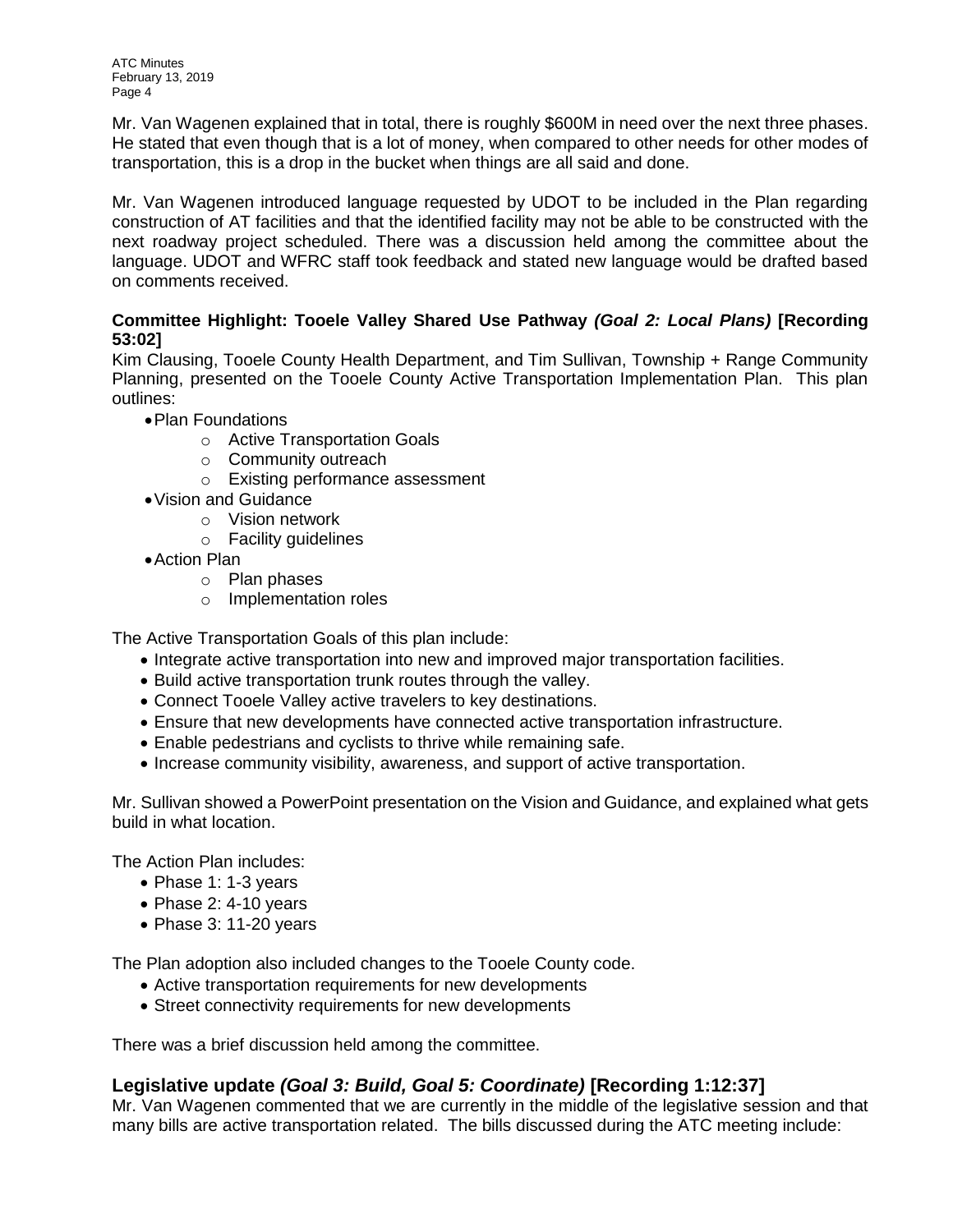ATC Minutes February 13, 2019 Page 4

Mr. Van Wagenen explained that in total, there is roughly \$600M in need over the next three phases. He stated that even though that is a lot of money, when compared to other needs for other modes of transportation, this is a drop in the bucket when things are all said and done.

Mr. Van Wagenen introduced language requested by UDOT to be included in the Plan regarding construction of AT facilities and that the identified facility may not be able to be constructed with the next roadway project scheduled. There was a discussion held among the committee about the language. UDOT and WFRC staff took feedback and stated new language would be drafted based on comments received.

## **Committee Highlight: Tooele Valley Shared Use Pathway** *(Goal 2: Local Plans)* **[Recording 53:02]**

Kim Clausing, Tooele County Health Department, and Tim Sullivan, Township + Range Community Planning, presented on the Tooele County Active Transportation Implementation Plan. This plan outlines:

- •Plan Foundations
	- o Active Transportation Goals
	- o Community outreach
	- o Existing performance assessment
- •Vision and Guidance
	- o Vision network
	- o Facility guidelines
- •Action Plan
	- o Plan phases
	- o Implementation roles

The Active Transportation Goals of this plan include:

- Integrate active transportation into new and improved major transportation facilities.
- Build active transportation trunk routes through the valley.
- Connect Tooele Valley active travelers to key destinations.
- Ensure that new developments have connected active transportation infrastructure.
- Enable pedestrians and cyclists to thrive while remaining safe.
- Increase community visibility, awareness, and support of active transportation.

Mr. Sullivan showed a PowerPoint presentation on the Vision and Guidance, and explained what gets build in what location.

The Action Plan includes:

- Phase 1: 1-3 years
- Phase 2: 4-10 years
- Phase 3: 11-20 years

The Plan adoption also included changes to the Tooele County code.

- Active transportation requirements for new developments
- Street connectivity requirements for new developments

There was a brief discussion held among the committee.

# **Legislative update** *(Goal 3: Build, Goal 5: Coordinate)* **[Recording 1:12:37]**

Mr. Van Wagenen commented that we are currently in the middle of the legislative session and that many bills are active transportation related. The bills discussed during the ATC meeting include: